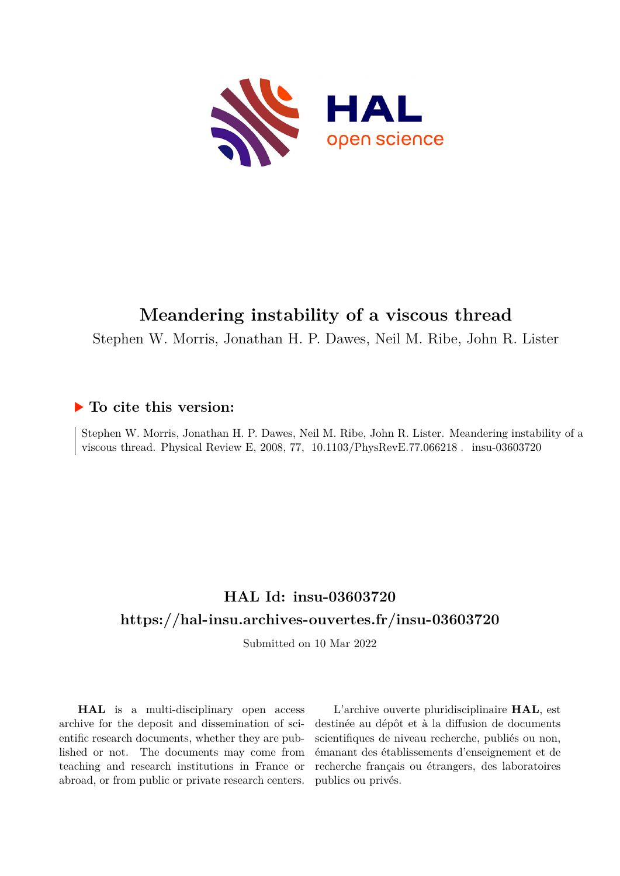

# **Meandering instability of a viscous thread**

Stephen W. Morris, Jonathan H. P. Dawes, Neil M. Ribe, John R. Lister

# **To cite this version:**

Stephen W. Morris, Jonathan H. P. Dawes, Neil M. Ribe, John R. Lister. Meandering instability of a viscous thread. Physical Review E, 2008, 77,  $10.1103/PhysRevE.77.066218$ . insu-03603720

# **HAL Id: insu-03603720 <https://hal-insu.archives-ouvertes.fr/insu-03603720>**

Submitted on 10 Mar 2022

**HAL** is a multi-disciplinary open access archive for the deposit and dissemination of scientific research documents, whether they are published or not. The documents may come from teaching and research institutions in France or abroad, or from public or private research centers.

L'archive ouverte pluridisciplinaire **HAL**, est destinée au dépôt et à la diffusion de documents scientifiques de niveau recherche, publiés ou non, émanant des établissements d'enseignement et de recherche français ou étrangers, des laboratoires publics ou privés.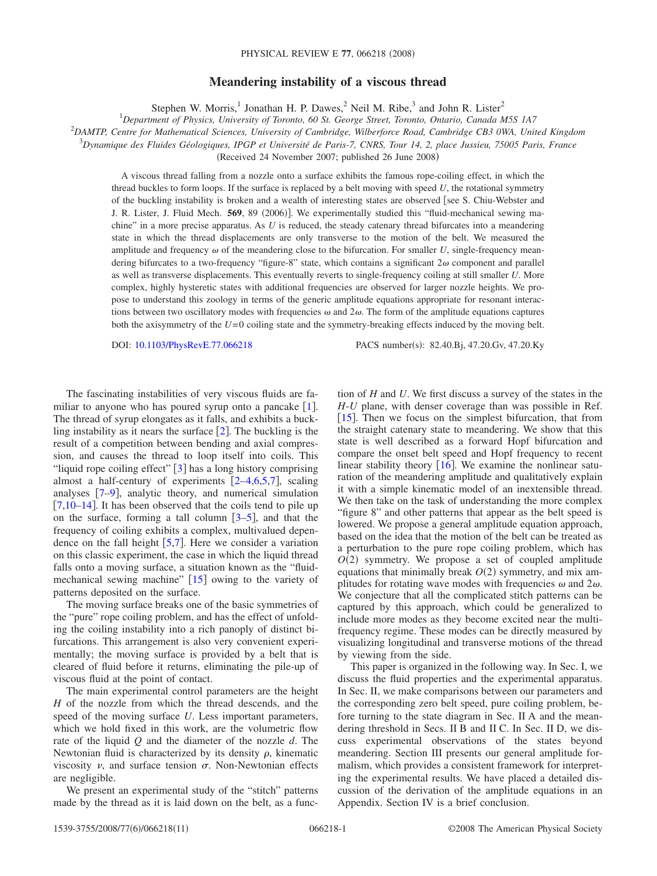# **Meandering instability of a viscous thread**

Stephen W. Morris,<sup>1</sup> Jonathan H. P. Dawes,<sup>2</sup> Neil M. Ribe,<sup>3</sup> and John R. Lister<sup>2</sup>

1 *Department of Physics, University of Toronto, 60 St. George Street, Toronto, Ontario, Canada M5S 1A7* 2 *DAMTP, Centre for Mathematical Sciences, University of Cambridge, Wilberforce Road, Cambridge CB3 0WA, United Kingdom* 3 *Dynamique des Fluides Géologiques, IPGP et Université de Paris-7, CNRS, Tour 14, 2, place Jussieu, 75005 Paris, France*

(Received 24 November 2007; published 26 June 2008)

A viscous thread falling from a nozzle onto a surface exhibits the famous rope-coiling effect, in which the thread buckles to form loops. If the surface is replaced by a belt moving with speed *U*, the rotational symmetry of the buckling instability is broken and a wealth of interesting states are observed [see S. Chiu-Webster and J. R. Lister, J. Fluid Mech. 569, 89 (2006)]. We experimentally studied this "fluid-mechanical sewing machine" in a more precise apparatus. As *U* is reduced, the steady catenary thread bifurcates into a meandering state in which the thread displacements are only transverse to the motion of the belt. We measured the amplitude and frequency  $\omega$  of the meandering close to the bifurcation. For smaller *U*, single-frequency meandering bifurcates to a two-frequency "figure-8" state, which contains a significant  $2\omega$  component and parallel as well as transverse displacements. This eventually reverts to single-frequency coiling at still smaller *U*. More complex, highly hysteretic states with additional frequencies are observed for larger nozzle heights. We propose to understand this zoology in terms of the generic amplitude equations appropriate for resonant interactions between two oscillatory modes with frequencies  $\omega$  and  $2\omega$ . The form of the amplitude equations captures both the axisymmetry of the *U*=0 coiling state and the symmetry-breaking effects induced by the moving belt.

DOI: [10.1103/PhysRevE.77.066218](http://dx.doi.org/10.1103/PhysRevE.77.066218)

PACS number(s): 82.40.Bj, 47.20.Gv, 47.20.Ky

The fascinating instabilities of very viscous fluids are familiar to anyone who has poured syrup onto a pancake  $[1]$ . The thread of syrup elongates as it falls, and exhibits a buckling instability as it nears the surface  $\lceil 2 \rceil$ . The buckling is the result of a competition between bending and axial compression, and causes the thread to loop itself into coils. This "liquid rope coiling effect"  $[3]$  has a long history comprising almost a half-century of experiments  $[2-4,6,5,7]$ , scaling analyses  $[7-9]$ , analytic theory, and numerical simulation  $[7,10-14]$ . It has been observed that the coils tend to pile up on the surface, forming a tall column  $\left[3-5\right]$ , and that the frequency of coiling exhibits a complex, multivalued dependence on the fall height  $[5,7]$ . Here we consider a variation on this classic experiment, the case in which the liquid thread falls onto a moving surface, a situation known as the "fluidmechanical sewing machine"  $[15]$  owing to the variety of patterns deposited on the surface.

The moving surface breaks one of the basic symmetries of the "pure" rope coiling problem, and has the effect of unfolding the coiling instability into a rich panoply of distinct bifurcations. This arrangement is also very convenient experimentally; the moving surface is provided by a belt that is cleared of fluid before it returns, eliminating the pile-up of viscous fluid at the point of contact.

The main experimental control parameters are the height *H* of the nozzle from which the thread descends, and the speed of the moving surface *U*. Less important parameters, which we hold fixed in this work, are the volumetric flow rate of the liquid *Q* and the diameter of the nozzle *d*. The Newtonian fluid is characterized by its density  $\rho$ , kinematic viscosity  $\nu$ , and surface tension  $\sigma$ . Non-Newtonian effects are negligible.

We present an experimental study of the "stitch" patterns made by the thread as it is laid down on the belt, as a function of *H* and *U*. We first discuss a survey of the states in the *H*-*U* plane, with denser coverage than was possible in Ref. [ $15$ ]. Then we focus on the simplest bifurcation, that from the straight catenary state to meandering. We show that this state is well described as a forward Hopf bifurcation and compare the onset belt speed and Hopf frequency to recent linear stability theory  $\lceil 16 \rceil$ . We examine the nonlinear saturation of the meandering amplitude and qualitatively explain it with a simple kinematic model of an inextensible thread. We then take on the task of understanding the more complex "figure 8" and other patterns that appear as the belt speed is lowered. We propose a general amplitude equation approach, based on the idea that the motion of the belt can be treated as a perturbation to the pure rope coiling problem, which has  $O(2)$  symmetry. We propose a set of coupled amplitude equations that minimally break  $O(2)$  symmetry, and mix amplitudes for rotating wave modes with frequencies  $\omega$  and  $2\omega$ . We conjecture that all the complicated stitch patterns can be captured by this approach, which could be generalized to include more modes as they become excited near the multifrequency regime. These modes can be directly measured by visualizing longitudinal and transverse motions of the thread by viewing from the side.

This paper is organized in the following way. In Sec. I, we discuss the fluid properties and the experimental apparatus. In Sec. II, we make comparisons between our parameters and the corresponding zero belt speed, pure coiling problem, before turning to the state diagram in Sec. II A and the meandering threshold in Secs. II B and II C. In Sec. II D, we discuss experimental observations of the states beyond meandering. Section III presents our general amplitude formalism, which provides a consistent framework for interpreting the experimental results. We have placed a detailed discussion of the derivation of the amplitude equations in an Appendix. Section IV is a brief conclusion.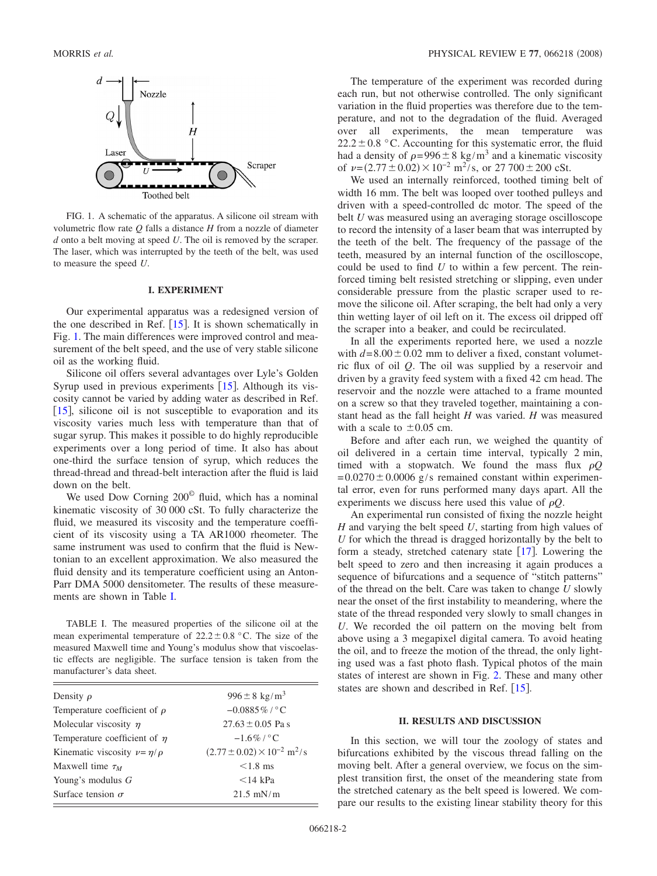

FIG. 1. A schematic of the apparatus. A silicone oil stream with volumetric flow rate *Q* falls a distance *H* from a nozzle of diameter *d* onto a belt moving at speed *U*. The oil is removed by the scraper. The laser, which was interrupted by the teeth of the belt, was used to measure the speed *U*.

#### **I. EXPERIMENT**

Our experimental apparatus was a redesigned version of the one described in Ref.  $[15]$ . It is shown schematically in Fig. 1. The main differences were improved control and measurement of the belt speed, and the use of very stable silicone oil as the working fluid.

Silicone oil offers several advantages over Lyle's Golden Syrup used in previous experiments  $[15]$ . Although its viscosity cannot be varied by adding water as described in Ref. [15], silicone oil is not susceptible to evaporation and its viscosity varies much less with temperature than that of sugar syrup. This makes it possible to do highly reproducible experiments over a long period of time. It also has about one-third the surface tension of syrup, which reduces the thread-thread and thread-belt interaction after the fluid is laid down on the belt.

We used Dow Corning 200© fluid, which has a nominal kinematic viscosity of 30 000 cSt. To fully characterize the fluid, we measured its viscosity and the temperature coefficient of its viscosity using a TA AR1000 rheometer. The same instrument was used to confirm that the fluid is Newtonian to an excellent approximation. We also measured the fluid density and its temperature coefficient using an Anton-Parr DMA 5000 densitometer. The results of these measurements are shown in Table I.

TABLE I. The measured properties of the silicone oil at the mean experimental temperature of  $22.2 \pm 0.8$  °C. The size of the measured Maxwell time and Young's modulus show that viscoelastic effects are negligible. The surface tension is taken from the manufacturer's data sheet.

| Density $\rho$                        | $996 \pm 8 \text{ kg/m}^3$                         |
|---------------------------------------|----------------------------------------------------|
| Temperature coefficient of $\rho$     | $-0.0885\%$ / °C                                   |
| Molecular viscosity $\eta$            | $27.63 \pm 0.05$ Pa s                              |
| Temperature coefficient of $\eta$     | $-1.6\%$ / °C                                      |
| Kinematic viscosity $\nu = \eta/\rho$ | $(2.77 \pm 0.02) \times 10^{-2}$ m <sup>2</sup> /s |
| Maxwell time $\tau_M$                 | $< 1.8$ ms                                         |
| Young's modulus $G$                   | $<$ 14 kPa                                         |
| Surface tension $\sigma$              | $21.5$ mN/m                                        |
|                                       |                                                    |

The temperature of the experiment was recorded during each run, but not otherwise controlled. The only significant variation in the fluid properties was therefore due to the temperature, and not to the degradation of the fluid. Averaged over all experiments, the mean temperature was  $22.2 \pm 0.8$  °C. Accounting for this systematic error, the fluid had a density of  $\rho = 996 \pm 8 \text{ kg/m}^3$  and a kinematic viscosity of  $\nu = (2.77 \pm 0.02) \times 10^{-2} \text{ m}^2/\text{s}$ , or  $27\ 700 \pm 200 \text{ cSt.}$ 

We used an internally reinforced, toothed timing belt of width 16 mm. The belt was looped over toothed pulleys and driven with a speed-controlled dc motor. The speed of the belt *U* was measured using an averaging storage oscilloscope to record the intensity of a laser beam that was interrupted by the teeth of the belt. The frequency of the passage of the teeth, measured by an internal function of the oscilloscope, could be used to find *U* to within a few percent. The reinforced timing belt resisted stretching or slipping, even under considerable pressure from the plastic scraper used to remove the silicone oil. After scraping, the belt had only a very thin wetting layer of oil left on it. The excess oil dripped off the scraper into a beaker, and could be recirculated.

In all the experiments reported here, we used a nozzle with  $d=8.00\pm0.02$  mm to deliver a fixed, constant volumetric flux of oil *Q*. The oil was supplied by a reservoir and driven by a gravity feed system with a fixed 42 cm head. The reservoir and the nozzle were attached to a frame mounted on a screw so that they traveled together, maintaining a constant head as the fall height *H* was varied. *H* was measured with a scale to  $\pm 0.05$  cm.

Before and after each run, we weighed the quantity of oil delivered in a certain time interval, typically 2 min, timed with a stopwatch. We found the mass flux  $\rho Q$  $=0.0270\pm0.0006$  g/s remained constant within experimental error, even for runs performed many days apart. All the experiments we discuss here used this value of  $\rho Q$ .

An experimental run consisted of fixing the nozzle height *H* and varying the belt speed *U*, starting from high values of *U* for which the thread is dragged horizontally by the belt to form a steady, stretched catenary state  $\lceil 17 \rceil$ . Lowering the belt speed to zero and then increasing it again produces a sequence of bifurcations and a sequence of "stitch patterns" of the thread on the belt. Care was taken to change *U* slowly near the onset of the first instability to meandering, where the state of the thread responded very slowly to small changes in *U*. We recorded the oil pattern on the moving belt from above using a 3 megapixel digital camera. To avoid heating the oil, and to freeze the motion of the thread, the only lighting used was a fast photo flash. Typical photos of the main states of interest are shown in Fig. 2. These and many other states are shown and described in Ref.  $[15]$ .

#### **II. RESULTS AND DISCUSSION**

In this section, we will tour the zoology of states and bifurcations exhibited by the viscous thread falling on the moving belt. After a general overview, we focus on the simplest transition first, the onset of the meandering state from the stretched catenary as the belt speed is lowered. We compare our results to the existing linear stability theory for this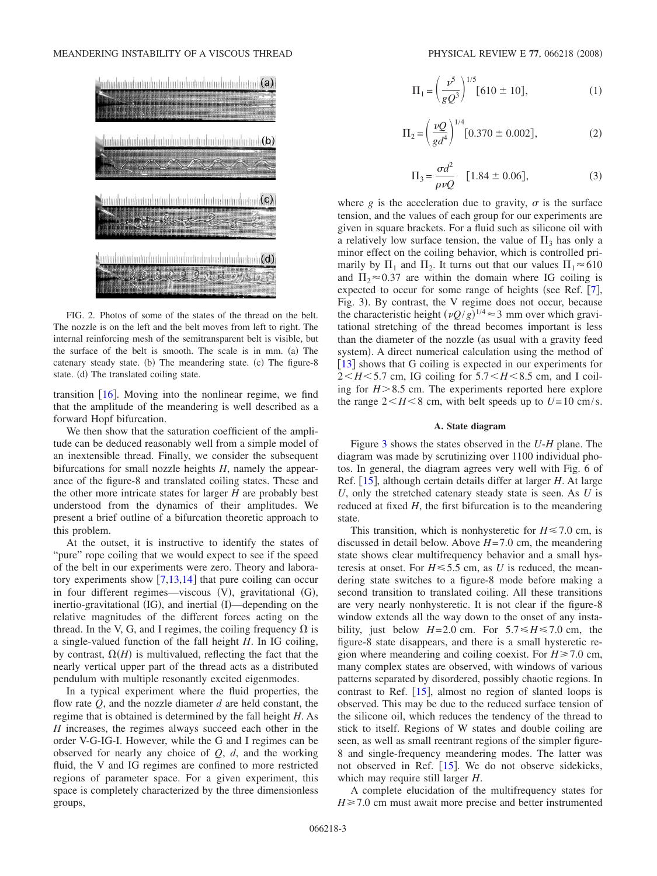

FIG. 2. Photos of some of the states of the thread on the belt. The nozzle is on the left and the belt moves from left to right. The internal reinforcing mesh of the semitransparent belt is visible, but the surface of the belt is smooth. The scale is in mm. (a) The catenary steady state. (b) The meandering state. (c) The figure-8 state. (d) The translated coiling state.

transition  $[16]$ . Moving into the nonlinear regime, we find that the amplitude of the meandering is well described as a forward Hopf bifurcation.

We then show that the saturation coefficient of the amplitude can be deduced reasonably well from a simple model of an inextensible thread. Finally, we consider the subsequent bifurcations for small nozzle heights *H*, namely the appearance of the figure-8 and translated coiling states. These and the other more intricate states for larger *H* are probably best understood from the dynamics of their amplitudes. We present a brief outline of a bifurcation theoretic approach to this problem.

At the outset, it is instructive to identify the states of "pure" rope coiling that we would expect to see if the speed of the belt in our experiments were zero. Theory and laboratory experiments show  $[7,13,14]$  that pure coiling can occur in four different regimes—viscous (V), gravitational (G), inertio-gravitational (IG), and inertial (I)—depending on the relative magnitudes of the different forces acting on the thread. In the V, G, and I regimes, the coiling frequency  $\Omega$  is a single-valued function of the fall height *H*. In IG coiling, by contrast,  $\Omega(H)$  is multivalued, reflecting the fact that the nearly vertical upper part of the thread acts as a distributed pendulum with multiple resonantly excited eigenmodes.

In a typical experiment where the fluid properties, the flow rate *Q*, and the nozzle diameter *d* are held constant, the regime that is obtained is determined by the fall height *H*. As *H* increases, the regimes always succeed each other in the order V-G-IG-I. However, while the G and I regimes can be observed for nearly any choice of *Q*, *d*, and the working fluid, the V and IG regimes are confined to more restricted regions of parameter space. For a given experiment, this space is completely characterized by the three dimensionless groups,

$$
\Pi_1 = \left(\frac{\nu^5}{gQ^3}\right)^{1/5} [610 \pm 10],\tag{1}
$$

$$
\Pi_2 = \left(\frac{\nu Q}{g d^4}\right)^{1/4} [0.370 \pm 0.002],\tag{2}
$$

$$
\Pi_3 = \frac{\sigma d^2}{\rho \nu Q} \quad [1.84 \pm 0.06],
$$
 (3)

where *g* is the acceleration due to gravity,  $\sigma$  is the surface tension, and the values of each group for our experiments are given in square brackets. For a fluid such as silicone oil with a relatively low surface tension, the value of  $\Pi_3$  has only a minor effect on the coiling behavior, which is controlled primarily by  $\Pi_1$  and  $\Pi_2$ . It turns out that our values  $\Pi_1 \approx 610$ and  $\Pi_2 \approx 0.37$  are within the domain where IG coiling is expected to occur for some range of heights (see Ref.  $[7]$ , Fig. 3). By contrast, the V regime does not occur, because the characteristic height  $(\nu Q/g)^{1/4} \approx 3$  mm over which gravitational stretching of the thread becomes important is less than the diameter of the nozzle (as usual with a gravity feed system). A direct numerical calculation using the method of [13] shows that G coiling is expected in our experiments for  $2 \leq H \leq 5.7$  cm, IG coiling for  $5.7 \leq H \leq 8.5$  cm, and I coiling for  $H > 8.5$  cm. The experiments reported here explore the range  $2 \leq H \leq 8$  cm, with belt speeds up to  $U = 10$  cm/s.

#### **A. State diagram**

Figure 3 shows the states observed in the *U*-*H* plane. The diagram was made by scrutinizing over 1100 individual photos. In general, the diagram agrees very well with Fig. 6 of Ref. [15], although certain details differ at larger *H*. At large *U*, only the stretched catenary steady state is seen. As *U* is reduced at fixed *H*, the first bifurcation is to the meandering state.

This transition, which is nonhysteretic for  $H \le 7.0$  cm, is discussed in detail below. Above *H*=7.0 cm, the meandering state shows clear multifrequency behavior and a small hysteresis at onset. For  $H \le 5.5$  cm, as *U* is reduced, the meandering state switches to a figure-8 mode before making a second transition to translated coiling. All these transitions are very nearly nonhysteretic. It is not clear if the figure-8 window extends all the way down to the onset of any instability, just below  $H=2.0$  cm. For  $5.7 \le H \le 7.0$  cm, the figure-8 state disappears, and there is a small hysteretic region where meandering and coiling coexist. For  $H \ge 7.0$  cm, many complex states are observed, with windows of various patterns separated by disordered, possibly chaotic regions. In contrast to Ref.  $[15]$ , almost no region of slanted loops is observed. This may be due to the reduced surface tension of the silicone oil, which reduces the tendency of the thread to stick to itself. Regions of W states and double coiling are seen, as well as small reentrant regions of the simpler figure-8 and single-frequency meandering modes. The latter was not observed in Ref.  $[15]$ . We do not observe sidekicks, which may require still larger *H*.

A complete elucidation of the multifrequency states for  $H \ge 7.0$  cm must await more precise and better instrumented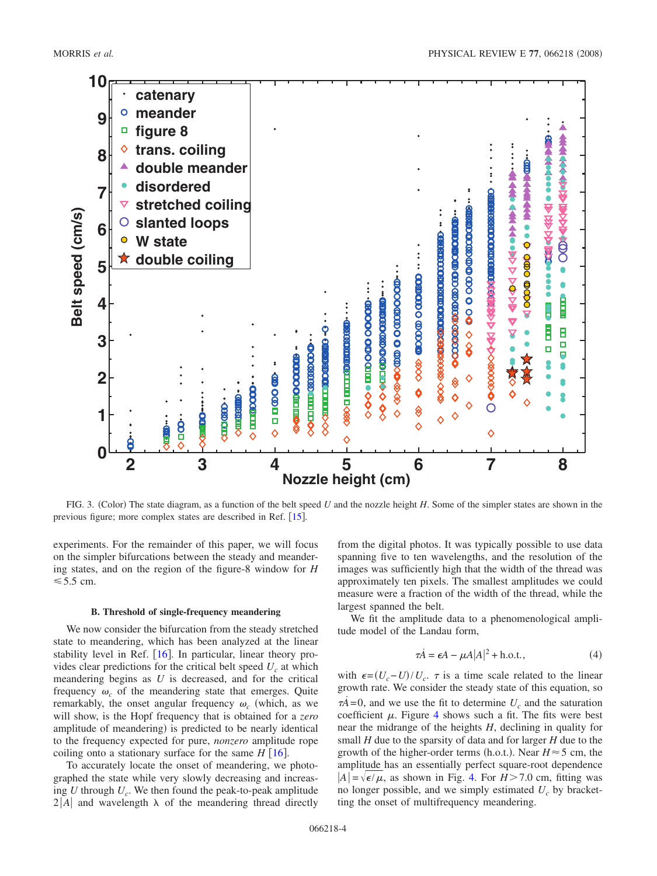

FIG. 3. (Color) The state diagram, as a function of the belt speed *U* and the nozzle height *H*. Some of the simpler states are shown in the previous figure; more complex states are described in Ref. [15].

experiments. For the remainder of this paper, we will focus on the simpler bifurcations between the steady and meandering states, and on the region of the figure-8 window for *H*  $\leq 5.5$  cm.

#### **B. Threshold of single-frequency meandering**

We now consider the bifurcation from the steady stretched state to meandering, which has been analyzed at the linear stability level in Ref.  $[16]$ . In particular, linear theory provides clear predictions for the critical belt speed  $U_c$  at which meandering begins as *U* is decreased, and for the critical frequency  $\omega_c$  of the meandering state that emerges. Quite remarkably, the onset angular frequency  $\omega_c$  (which, as we will show, is the Hopf frequency that is obtained for a *zero* amplitude of meandering) is predicted to be nearly identical to the frequency expected for pure, *nonzero* amplitude rope coiling onto a stationary surface for the same  $H \, [16]$ .

To accurately locate the onset of meandering, we photographed the state while very slowly decreasing and increasing *U* through  $U_c$ . We then found the peak-to-peak amplitude  $2|A|$  and wavelength  $\lambda$  of the meandering thread directly from the digital photos. It was typically possible to use data spanning five to ten wavelengths, and the resolution of the images was sufficiently high that the width of the thread was approximately ten pixels. The smallest amplitudes we could measure were a fraction of the width of the thread, while the largest spanned the belt.

We fit the amplitude data to a phenomenological amplitude model of the Landau form,

$$
\tau \dot{A} = \epsilon A - \mu A |A|^2 + \text{h.o.t.},\tag{4}
$$

with  $\epsilon = (U_c - U)/U_c$ .  $\tau$  is a time scale related to the linear growth rate. We consider the steady state of this equation, so  $\tau \vec{A} = 0$ , and we use the fit to determine  $U_c$  and the saturation coefficient  $\mu$ . Figure 4 shows such a fit. The fits were best near the midrange of the heights *H*, declining in quality for small *H* due to the sparsity of data and for larger *H* due to the growth of the higher-order terms (h.o.t.). Near  $H \approx 5$  cm, the amplitude has an essentially perfect square-root dependence  $|A| = \sqrt{\epsilon/\mu}$ , as shown in Fig. 4. For *H* > 7.0 cm, fitting was no longer possible, and we simply estimated  $U_c$  by bracketting the onset of multifrequency meandering.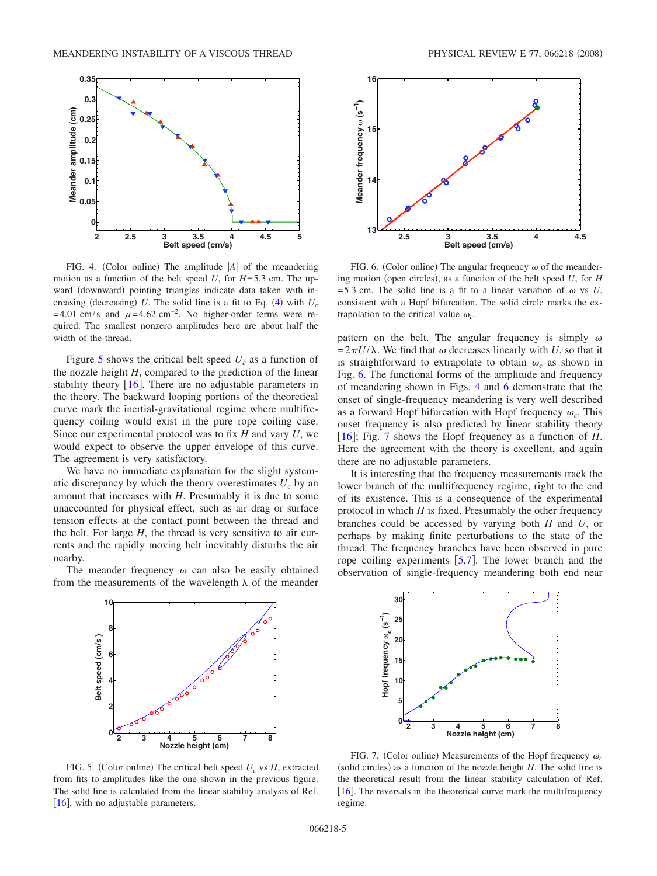

FIG. 4. (Color online) The amplitude  $|A|$  of the meandering motion as a function of the belt speed *U*, for  $H=5.3$  cm. The upward (downward) pointing triangles indicate data taken with increasing (decreasing) U. The solid line is a fit to Eq.  $(4)$  with  $U_c$ =4.01 cm/s and  $\mu$ =4.62 cm<sup>-2</sup>. No higher-order terms were required. The smallest nonzero amplitudes here are about half the width of the thread.

Figure 5 shows the critical belt speed  $U_c$  as a function of the nozzle height *H*, compared to the prediction of the linear stability theory  $[16]$ . There are no adjustable parameters in the theory. The backward looping portions of the theoretical curve mark the inertial-gravitational regime where multifrequency coiling would exist in the pure rope coiling case. Since our experimental protocol was to fix *H* and vary *U*, we would expect to observe the upper envelope of this curve. The agreement is very satisfactory.

We have no immediate explanation for the slight systematic discrepancy by which the theory overestimates  $U_c$  by an amount that increases with *H*. Presumably it is due to some unaccounted for physical effect, such as air drag or surface tension effects at the contact point between the thread and the belt. For large *H*, the thread is very sensitive to air currents and the rapidly moving belt inevitably disturbs the air nearby.

The meander frequency  $\omega$  can also be easily obtained from the measurements of the wavelength  $\lambda$  of the meander



FIG. 5. (Color online) The critical belt speed  $U_c$  vs  $H$ , extracted from fits to amplitudes like the one shown in the previous figure. The solid line is calculated from the linear stability analysis of Ref. [16], with no adjustable parameters.



FIG. 6. (Color online) The angular frequency  $\omega$  of the meandering motion (open circles), as a function of the belt speed *U*, for *H* =5.3 cm. The solid line is a fit to a linear variation of  $\omega$  vs *U*, consistent with a Hopf bifurcation. The solid circle marks the extrapolation to the critical value  $\omega_c$ .

pattern on the belt. The angular frequency is simply  $\omega$  $=2\pi U/\lambda$ . We find that  $\omega$  decreases linearly with *U*, so that it is straightforward to extrapolate to obtain  $\omega_c$  as shown in Fig. 6. The functional forms of the amplitude and frequency of meandering shown in Figs. 4 and 6 demonstrate that the onset of single-frequency meandering is very well described as a forward Hopf bifurcation with Hopf frequency  $\omega_c$ . This onset frequency is also predicted by linear stability theory [16]; Fig. 7 shows the Hopf frequency as a function of *H*. Here the agreement with the theory is excellent, and again there are no adjustable parameters.

It is interesting that the frequency measurements track the lower branch of the multifrequency regime, right to the end of its existence. This is a consequence of the experimental protocol in which *H* is fixed. Presumably the other frequency branches could be accessed by varying both *H* and *U*, or perhaps by making finite perturbations to the state of the thread. The frequency branches have been observed in pure rope coiling experiments  $[5,7]$ . The lower branch and the observation of single-frequency meandering both end near



FIG. 7. (Color online) Measurements of the Hopf frequency  $\omega_c$ (solid circles) as a function of the nozzle height  $H$ . The solid line is the theoretical result from the linear stability calculation of Ref. [ $16$ ]. The reversals in the theoretical curve mark the multifrequency regime.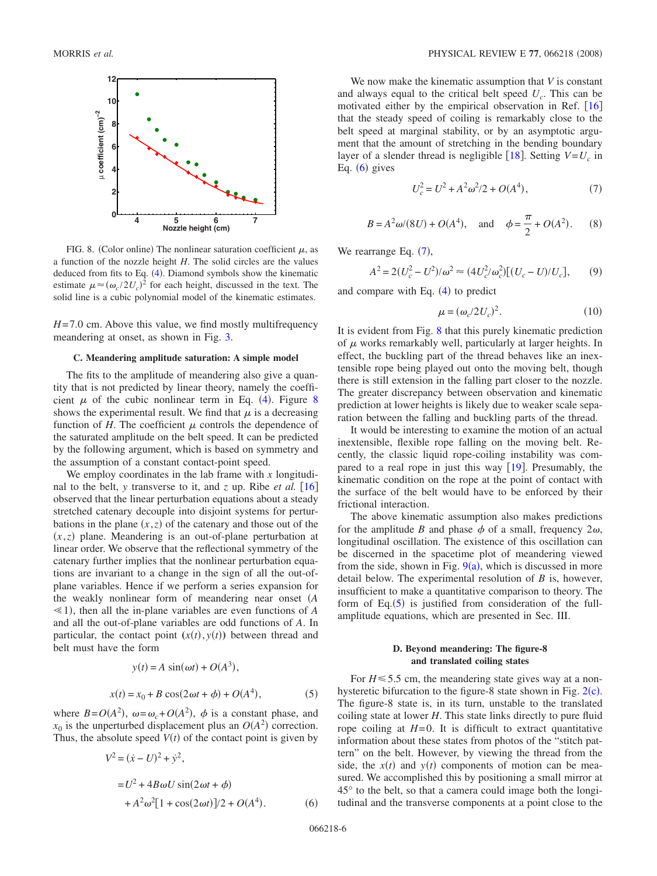

FIG. 8. (Color online) The nonlinear saturation coefficient  $\mu$ , as a function of the nozzle height *H*. The solid circles are the values deduced from fits to Eq.  $(4)$ . Diamond symbols show the kinematic estimate  $\mu \approx (\omega_c/2U_c)^2$  for each height, discussed in the text. The solid line is a cubic polynomial model of the kinematic estimates.

*H*=7.0 cm. Above this value, we find mostly multifrequency meandering at onset, as shown in Fig. 3.

#### **C. Meandering amplitude saturation: A simple model**

The fits to the amplitude of meandering also give a quantity that is not predicted by linear theory, namely the coefficient  $\mu$  of the cubic nonlinear term in Eq. (4). Figure 8 shows the experimental result. We find that  $\mu$  is a decreasing function of  $H$ . The coefficient  $\mu$  controls the dependence of the saturated amplitude on the belt speed. It can be predicted by the following argument, which is based on symmetry and the assumption of a constant contact-point speed.

We employ coordinates in the lab frame with *x* longitudinal to the belt, *y* transverse to it, and *z* up. Ribe *et al.* [16] observed that the linear perturbation equations about a steady stretched catenary decouple into disjoint systems for perturbations in the plane  $(x, z)$  of the catenary and those out of the  $(x, z)$  plane. Meandering is an out-of-plane perturbation at linear order. We observe that the reflectional symmetry of the catenary further implies that the nonlinear perturbation equations are invariant to a change in the sign of all the out-ofplane variables. Hence if we perform a series expansion for the weakly nonlinear form of meandering near onset *A*  $\leq$ 1), then all the in-plane variables are even functions of *A* and all the out-of-plane variables are odd functions of *A*. In particular, the contact point  $(x(t), y(t))$  between thread and belt must have the form

$$
y(t) = A \sin(\omega t) + O(A3),
$$
  

$$
x(t) = x_0 + B \cos(2\omega t + \phi) + O(A4),
$$
 (5)

where  $B = O(A^2)$ ,  $\omega = \omega_c + O(A^2)$ ,  $\phi$  is a constant phase, and  $x_0$  is the unperturbed displacement plus an  $O(A^2)$  correction. Thus, the absolute speed  $V(t)$  of the contact point is given by

$$
V^{2} = (\dot{x} - U)^{2} + \dot{y}^{2},
$$
  
= U^{2} + 4B\omega U sin(2\omega t + \phi)  
+ A^{2}\omega^{2}[1 + cos(2\omega t)]/2 + O(A^{4}). (6)

We now make the kinematic assumption that *V* is constant and always equal to the critical belt speed *Uc*. This can be motivated either by the empirical observation in Ref.  $[16]$ that the steady speed of coiling is remarkably close to the belt speed at marginal stability, or by an asymptotic argument that the amount of stretching in the bending boundary layer of a slender thread is negligible  $[18]$ . Setting  $V=U_c$  in Eq.  $(6)$  gives

$$
U_c^2 = U^2 + A^2 \omega^2 / 2 + O(A^4),\tag{7}
$$

$$
B = A^2 \omega/(8U) + O(A^4)
$$
, and  $\phi = \frac{\pi}{2} + O(A^2)$ . (8)

We rearrange Eq.  $(7)$ ,

$$
A^{2} = 2(U_{c}^{2} - U^{2})/\omega^{2} \approx (4U_{c}^{2}/\omega_{c}^{2})[(U_{c} - U)/U_{c}],
$$
 (9)

and compare with Eq.  $(4)$  to predict

$$
\mu = (\omega_c/2U_c)^2. \tag{10}
$$

It is evident from Fig. 8 that this purely kinematic prediction of  $\mu$  works remarkably well, particularly at larger heights. In effect, the buckling part of the thread behaves like an inextensible rope being played out onto the moving belt, though there is still extension in the falling part closer to the nozzle. The greater discrepancy between observation and kinematic prediction at lower heights is likely due to weaker scale separation between the falling and buckling parts of the thread.

It would be interesting to examine the motion of an actual inextensible, flexible rope falling on the moving belt. Recently, the classic liquid rope-coiling instability was compared to a real rope in just this way  $\lceil 19 \rceil$ . Presumably, the kinematic condition on the rope at the point of contact with the surface of the belt would have to be enforced by their frictional interaction.

The above kinematic assumption also makes predictions for the amplitude *B* and phase  $\phi$  of a small, frequency  $2\omega$ , longitudinal oscillation. The existence of this oscillation can be discerned in the spacetime plot of meandering viewed from the side, shown in Fig.  $9(a)$ , which is discussed in more detail below. The experimental resolution of *B* is, however, insufficient to make a quantitative comparison to theory. The form of Eq. $(5)$  is justified from consideration of the fullamplitude equations, which are presented in Sec. III.

### **D. Beyond meandering: The figure-8 and translated coiling states**

For  $H \le 5.5$  cm, the meandering state gives way at a nonhysteretic bifurcation to the figure-8 state shown in Fig.  $2(c)$ . The figure-8 state is, in its turn, unstable to the translated coiling state at lower *H*. This state links directly to pure fluid rope coiling at  $H=0$ . It is difficult to extract quantitative information about these states from photos of the "stitch pattern" on the belt. However, by viewing the thread from the side, the  $x(t)$  and  $y(t)$  components of motion can be measured. We accomplished this by positioning a small mirror at 45° to the belt, so that a camera could image both the longitudinal and the transverse components at a point close to the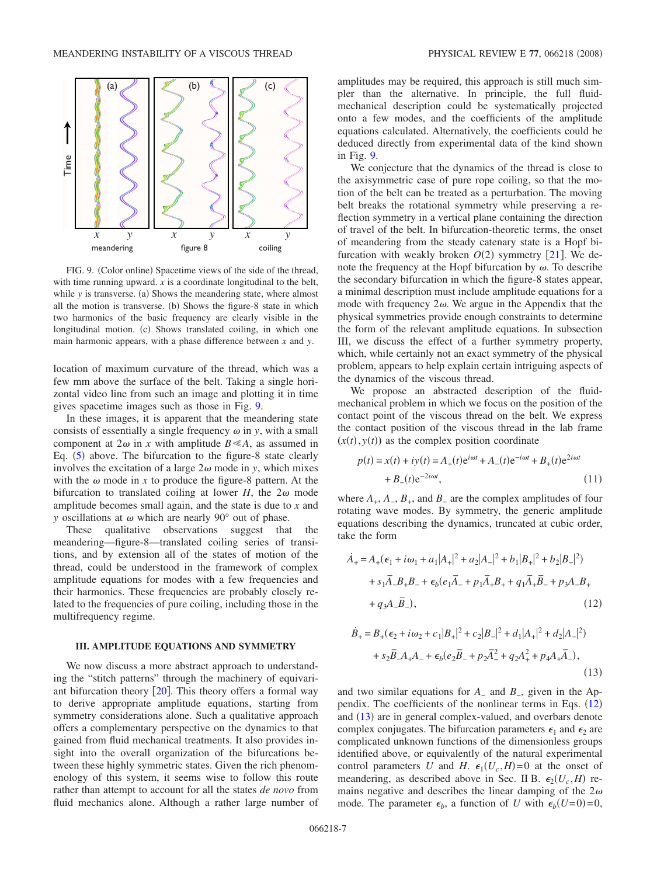

FIG. 9. (Color online) Spacetime views of the side of the thread, with time running upward. *x* is a coordinate longitudinal to the belt, while *y* is transverse. (a) Shows the meandering state, where almost all the motion is transverse. (b) Shows the figure-8 state in which two harmonics of the basic frequency are clearly visible in the longitudinal motion. (c) Shows translated coiling, in which one main harmonic appears, with a phase difference between *x* and *y*.

location of maximum curvature of the thread, which was a few mm above the surface of the belt. Taking a single horizontal video line from such an image and plotting it in time gives spacetime images such as those in Fig. 9.

In these images, it is apparent that the meandering state consists of essentially a single frequency  $\omega$  in *y*, with a small component at  $2\omega$  in *x* with amplitude  $B \leq A$ , as assumed in Eq. (5) above. The bifurcation to the figure-8 state clearly involves the excitation of a large  $2\omega$  mode in *y*, which mixes with the  $\omega$  mode in *x* to produce the figure-8 pattern. At the bifurcation to translated coiling at lower  $H$ , the  $2\omega$  mode amplitude becomes small again, and the state is due to *x* and *y* oscillations at  $\omega$  which are nearly 90 $^{\circ}$  out of phase.

These qualitative observations suggest that the meandering—figure-8—translated coiling series of transitions, and by extension all of the states of motion of the thread, could be understood in the framework of complex amplitude equations for modes with a few frequencies and their harmonics. These frequencies are probably closely related to the frequencies of pure coiling, including those in the multifrequency regime.

### **III. AMPLITUDE EQUATIONS AND SYMMETRY**

We now discuss a more abstract approach to understanding the "stitch patterns" through the machinery of equivariant bifurcation theory  $[20]$ . This theory offers a formal way to derive appropriate amplitude equations, starting from symmetry considerations alone. Such a qualitative approach offers a complementary perspective on the dynamics to that gained from fluid mechanical treatments. It also provides insight into the overall organization of the bifurcations between these highly symmetric states. Given the rich phenomenology of this system, it seems wise to follow this route rather than attempt to account for all the states *de novo* from fluid mechanics alone. Although a rather large number of amplitudes may be required, this approach is still much simpler than the alternative. In principle, the full fluidmechanical description could be systematically projected onto a few modes, and the coefficients of the amplitude equations calculated. Alternatively, the coefficients could be deduced directly from experimental data of the kind shown in Fig. 9.

We conjecture that the dynamics of the thread is close to the axisymmetric case of pure rope coiling, so that the motion of the belt can be treated as a perturbation. The moving belt breaks the rotational symmetry while preserving a reflection symmetry in a vertical plane containing the direction of travel of the belt. In bifurcation-theoretic terms, the onset of meandering from the steady catenary state is a Hopf bifurcation with weakly broken  $O(2)$  symmetry  $[21]$ . We denote the frequency at the Hopf bifurcation by  $\omega$ . To describe the secondary bifurcation in which the figure-8 states appear, a minimal description must include amplitude equations for a mode with frequency  $2\omega$ . We argue in the Appendix that the physical symmetries provide enough constraints to determine the form of the relevant amplitude equations. In subsection III, we discuss the effect of a further symmetry property, which, while certainly not an exact symmetry of the physical problem, appears to help explain certain intriguing aspects of the dynamics of the viscous thread.

We propose an abstracted description of the fluidmechanical problem in which we focus on the position of the contact point of the viscous thread on the belt. We express the contact position of the viscous thread in the lab frame  $(x(t), y(t))$  as the complex position coordinate

$$
p(t) = x(t) + iy(t) = A_{+}(t)e^{i\omega t} + A_{-}(t)e^{-i\omega t} + B_{+}(t)e^{2i\omega t} + B_{-}(t)e^{-2i\omega t},
$$
\n(11)

where  $A_+$ ,  $A_-$ ,  $B_+$ , and  $B_-$  are the complex amplitudes of four rotating wave modes. By symmetry, the generic amplitude equations describing the dynamics, truncated at cubic order, take the form

$$
\dot{A}_{+} = A_{+}(\epsilon_{1} + i\omega_{1} + a_{1}|A_{+}|^{2} + a_{2}|A_{-}|^{2} + b_{1}|B_{+}|^{2} + b_{2}|B_{-}|^{2})
$$

$$
+ s_{1}\overline{A}_{-}B_{+}B_{-} + \epsilon_{b}(e_{1}\overline{A}_{-} + p_{1}\overline{A}_{+}B_{+} + q_{1}\overline{A}_{+}\overline{B}_{-} + p_{3}A_{-}B_{+})
$$

$$
+ q_{3}A_{-}\overline{B}_{-}), \qquad (12)
$$

$$
\dot{B}_{+} = B_{+}(\epsilon_{2} + i\omega_{2} + c_{1}|B_{+}|^{2} + c_{2}|B_{-}|^{2} + d_{1}|A_{+}|^{2} + d_{2}|A_{-}|^{2})
$$

$$
+ s_{2}\overline{B}_{-}A_{+}A_{-} + \epsilon_{b}(e_{2}\overline{B}_{-} + p_{2}\overline{A}_{-}^{2} + q_{2}A_{+}^{2} + p_{4}A_{+}\overline{A}_{-}), \qquad (13)
$$

and two similar equations for *A*<sup>−</sup> and *B*−, given in the Appendix. The coefficients of the nonlinear terms in Eqs.  $(12)$ and (13) are in general complex-valued, and overbars denote complex conjugates. The bifurcation parameters  $\epsilon_1$  and  $\epsilon_2$  are complicated unknown functions of the dimensionless groups identified above, or equivalently of the natural experimental control parameters *U* and *H*.  $\epsilon_1(U_c, H) = 0$  at the onset of meandering, as described above in Sec. II B.  $\epsilon_2(U_c, H)$  remains negative and describes the linear damping of the  $2\omega$ mode. The parameter  $\epsilon_b$ , a function of *U* with  $\epsilon_b(U=0)=0$ ,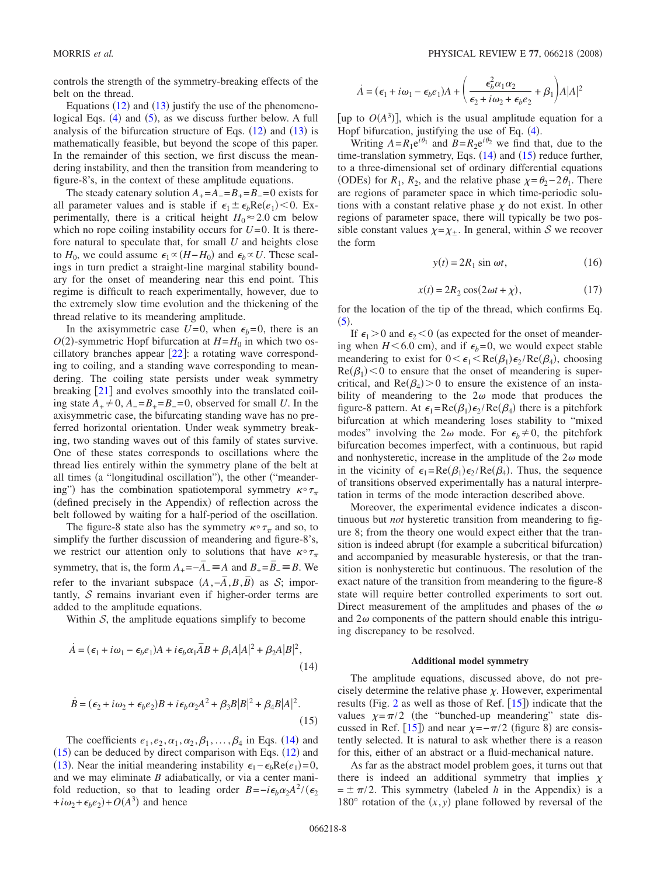controls the strength of the symmetry-breaking effects of the belt on the thread.

Equations  $(12)$  and  $(13)$  justify the use of the phenomenological Eqs.  $(4)$  and  $(5)$ , as we discuss further below. A full analysis of the bifurcation structure of Eqs.  $(12)$  and  $(13)$  is mathematically feasible, but beyond the scope of this paper. In the remainder of this section, we first discuss the meandering instability, and then the transition from meandering to figure-8's, in the context of these amplitude equations.

The steady catenary solution  $A_{+} = A_{-} = B_{+} = B_{-} = 0$  exists for all parameter values and is stable if  $\epsilon_1 \pm \epsilon_b \text{Re}(e_1)$  < 0. Experimentally, there is a critical height  $H_0 \approx 2.0$  cm below which no rope coiling instability occurs for  $U=0$ . It is therefore natural to speculate that, for small *U* and heights close to  $H_0$ , we could assume  $\epsilon_1 \propto (H - H_0)$  and  $\epsilon_b \propto U$ . These scalings in turn predict a straight-line marginal stability boundary for the onset of meandering near this end point. This regime is difficult to reach experimentally, however, due to the extremely slow time evolution and the thickening of the thread relative to its meandering amplitude.

In the axisymmetric case  $U=0$ , when  $\epsilon_b=0$ , there is an  $O(2)$ -symmetric Hopf bifurcation at  $H=H_0$  in which two oscillatory branches appear  $[22]$ : a rotating wave corresponding to coiling, and a standing wave corresponding to meandering. The coiling state persists under weak symmetry breaking  $[21]$  and evolves smoothly into the translated coiling state  $A_+$  ≠ 0,  $A_-\text{=}B_+\text{=}B_-\text{=}0$ , observed for small *U*. In the axisymmetric case, the bifurcating standing wave has no preferred horizontal orientation. Under weak symmetry breaking, two standing waves out of this family of states survive. One of these states corresponds to oscillations where the thread lies entirely within the symmetry plane of the belt at all times (a "longitudinal oscillation"), the other ("meandering") has the combination spatiotemporal symmetry  $\kappa \circ \tau_{\pi}$ (defined precisely in the Appendix) of reflection across the belt followed by waiting for a half-period of the oscillation.

The figure-8 state also has the symmetry  $\kappa \circ \tau_{\pi}$  and so, to simplify the further discussion of meandering and figure-8's, we restrict our attention only to solutions that have  $\kappa \circ \tau_{\pi}$ symmetry, that is, the form  $A_{+} = -\overline{A}_{-} \equiv A$  and  $B_{+} = \overline{B}_{-} \equiv B$ . We refer to the invariant subspace  $(A, -\overline{A}, B, \overline{B})$  as S; importantly,  $S$  remains invariant even if higher-order terms are added to the amplitude equations.

Within  $S$ , the amplitude equations simplify to become

$$
\dot{A} = (\epsilon_1 + i\omega_1 - \epsilon_b e_1)A + i\epsilon_b \alpha_1 \overline{A}B + \beta_1 A|A|^2 + \beta_2 A|B|^2,
$$
\n(14)

$$
\dot{B} = (\epsilon_2 + i\omega_2 + \epsilon_b e_2)B + i\epsilon_b \alpha_2 A^2 + \beta_3 B|B|^2 + \beta_4 B|A|^2.
$$
\n(15)

The coefficients  $e_1, e_2, \alpha_1, \alpha_2, \beta_1, \ldots, \beta_4$  in Eqs. (14) and  $(15)$  can be deduced by direct comparison with Eqs.  $(12)$  and (13). Near the initial meandering instability  $\epsilon_1 - \epsilon_b \text{Re}(e_1) = 0$ , and we may eliminate *B* adiabatically, or via a center manifold reduction, so that to leading order  $B = -i\epsilon_b \alpha_2 A^2 / (\epsilon_2)$  $+i\omega_2 + \epsilon_b e_2$  +  $O(A^3)$  and hence

$$
\dot{A} = (\epsilon_1 + i\omega_1 - \epsilon_b e_1)A + \left(\frac{\epsilon_b^2 \alpha_1 \alpha_2}{\epsilon_2 + i\omega_2 + \epsilon_b e_2} + \beta_1\right)A|A|^2
$$

[up to  $O(A^3)$ ], which is the usual amplitude equation for a Hopf bifurcation, justifying the use of Eq.  $(4)$ .

Writing  $A = R_1 e^{i\theta_1}$  and  $B = R_2 e^{i\theta_2}$  we find that, due to the time-translation symmetry, Eqs.  $(14)$  and  $(15)$  reduce further, to a three-dimensional set of ordinary differential equations (ODEs) for *R*<sub>1</sub>, *R*<sub>2</sub>, and the relative phase  $\chi = \theta_2 - 2\theta_1$ . There are regions of parameter space in which time-periodic solutions with a constant relative phase  $\chi$  do not exist. In other regions of parameter space, there will typically be two possible constant values  $\chi = \chi_{\pm}$ . In general, within S we recover the form

$$
y(t) = 2R_1 \sin \omega t, \qquad (16)
$$

$$
x(t) = 2R_2 \cos(2\omega t + \chi), \qquad (17)
$$

for the location of the tip of the thread, which confirms Eq.  $(5).$ 

If  $\epsilon_1$  > 0 and  $\epsilon_2$  < 0 (as expected for the onset of meandering when  $H \leq 6.0$  cm), and if  $\epsilon_b = 0$ , we would expect stable meandering to exist for  $0 < \epsilon_1 < \text{Re}(\beta_1)\epsilon_2/\text{Re}(\beta_4)$ , choosing  $Re(\beta_1)$  < 0 to ensure that the onset of meandering is supercritical, and  $Re(\beta_4) > 0$  to ensure the existence of an instability of meandering to the  $2\omega$  mode that produces the figure-8 pattern. At  $\epsilon_1 = \text{Re}(\beta_1)\epsilon_2/\text{Re}(\beta_4)$  there is a pitchfork bifurcation at which meandering loses stability to "mixed modes" involving the  $2\omega$  mode. For  $\epsilon_h \neq 0$ , the pitchfork bifurcation becomes imperfect, with a continuous, but rapid and nonhysteretic, increase in the amplitude of the  $2\omega$  mode in the vicinity of  $\epsilon_1 = \text{Re}(\beta_1) \epsilon_2 / \text{Re}(\beta_4)$ . Thus, the sequence of transitions observed experimentally has a natural interpretation in terms of the mode interaction described above.

Moreover, the experimental evidence indicates a discontinuous but *not* hysteretic transition from meandering to figure 8; from the theory one would expect either that the transition is indeed abrupt (for example a subcritical bifurcation) and accompanied by measurable hysteresis, or that the transition is nonhysteretic but continuous. The resolution of the exact nature of the transition from meandering to the figure-8 state will require better controlled experiments to sort out. Direct measurement of the amplitudes and phases of the  $\omega$ and  $2\omega$  components of the pattern should enable this intriguing discrepancy to be resolved.

#### **Additional model symmetry**

The amplitude equations, discussed above, do not precisely determine the relative phase  $\chi$ . However, experimental results (Fig. 2 as well as those of Ref.  $[15]$ ) indicate that the values  $\chi = \pi/2$  (the "bunched-up meandering" state discussed in Ref. [15]) and near  $\chi = -\pi/2$  (figure 8) are consistently selected. It is natural to ask whether there is a reason for this, either of an abstract or a fluid-mechanical nature.

As far as the abstract model problem goes, it turns out that there is indeed an additional symmetry that implies  $\chi$  $= \pm \pi/2$ . This symmetry (labeled *h* in the Appendix) is a 180 $^{\circ}$  rotation of the  $(x, y)$  plane followed by reversal of the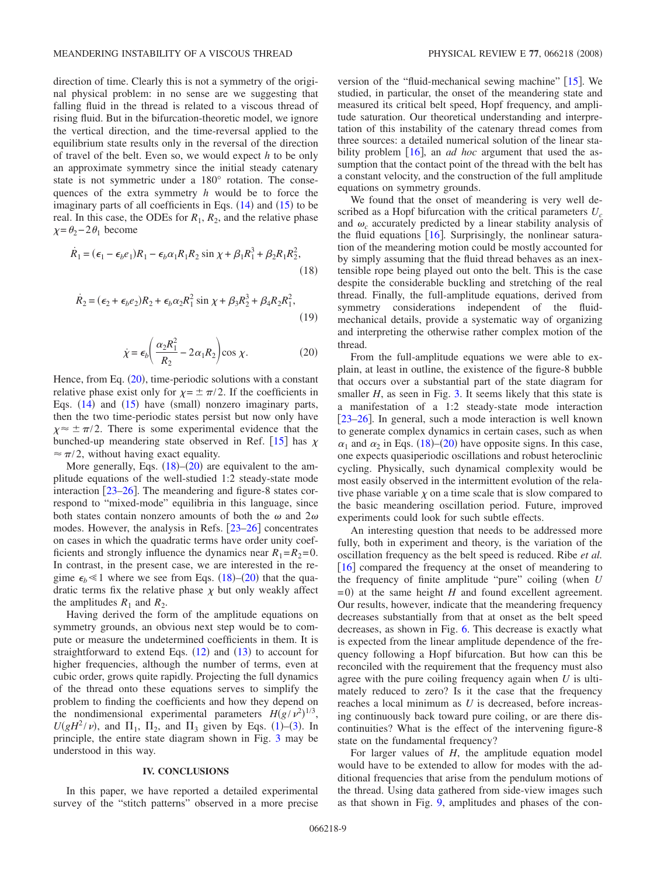direction of time. Clearly this is not a symmetry of the original physical problem: in no sense are we suggesting that falling fluid in the thread is related to a viscous thread of rising fluid. But in the bifurcation-theoretic model, we ignore the vertical direction, and the time-reversal applied to the equilibrium state results only in the reversal of the direction of travel of the belt. Even so, we would expect *h* to be only an approximate symmetry since the initial steady catenary state is not symmetric under a 180° rotation. The consequences of the extra symmetry *h* would be to force the imaginary parts of all coefficients in Eqs.  $(14)$  and  $(15)$  to be real. In this case, the ODEs for  $R_1$ ,  $R_2$ , and the relative phase  $\chi = \theta_2 - 2\theta_1$  become

$$
\dot{R}_1 = (\epsilon_1 - \epsilon_b e_1)R_1 - \epsilon_b \alpha_1 R_1 R_2 \sin \chi + \beta_1 R_1^3 + \beta_2 R_1 R_2^2,
$$
\n(18)

$$
\dot{R}_2 = (\epsilon_2 + \epsilon_b e_2)R_2 + \epsilon_b \alpha_2 R_1^2 \sin \chi + \beta_3 R_2^3 + \beta_4 R_2 R_1^2,
$$
\n(19)

$$
\dot{\chi} = \epsilon_b \left( \frac{\alpha_2 R_1^2}{R_2} - 2\alpha_1 R_2 \right) \cos \chi. \tag{20}
$$

Hence, from Eq.  $(20)$ , time-periodic solutions with a constant relative phase exist only for  $\chi = \pm \pi/2$ . If the coefficients in Eqs.  $(14)$  and  $(15)$  have (small) nonzero imaginary parts, then the two time-periodic states persist but now only have  $\chi \approx \pm \pi/2$ . There is some experimental evidence that the bunched-up meandering state observed in Ref. [15] has  $\chi$  $\approx \pi/2$ , without having exact equality.

More generally, Eqs.  $(18)$ – $(20)$  are equivalent to the amplitude equations of the well-studied 1:2 steady-state mode interaction  $\lceil 23-26 \rceil$ . The meandering and figure-8 states correspond to "mixed-mode" equilibria in this language, since both states contain nonzero amounts of both the  $\omega$  and  $2\omega$ modes. However, the analysis in Refs.  $[23-26]$  concentrates on cases in which the quadratic terms have order unity coefficients and strongly influence the dynamics near  $R_1 = R_2 = 0$ . In contrast, in the present case, we are interested in the regime  $\epsilon_b \le 1$  where we see from Eqs. (18)–(20) that the quadratic terms fix the relative phase  $\chi$  but only weakly affect the amplitudes  $R_1$  and  $R_2$ .

Having derived the form of the amplitude equations on symmetry grounds, an obvious next step would be to compute or measure the undetermined coefficients in them. It is straightforward to extend Eqs.  $(12)$  and  $(13)$  to account for higher frequencies, although the number of terms, even at cubic order, grows quite rapidly. Projecting the full dynamics of the thread onto these equations serves to simplify the problem to finding the coefficients and how they depend on the nondimensional experimental parameters  $H(g/v^2)^{1/3}$ ,  $U(gH^2/\nu)$ , and  $\Pi_1$ ,  $\Pi_2$ , and  $\Pi_3$  given by Eqs. (1)–(3). In principle, the entire state diagram shown in Fig. 3 may be understood in this way.

#### **IV. CONCLUSIONS**

In this paper, we have reported a detailed experimental survey of the "stitch patterns" observed in a more precise version of the "fluid-mechanical sewing machine"  $[15]$ . We studied, in particular, the onset of the meandering state and measured its critical belt speed, Hopf frequency, and amplitude saturation. Our theoretical understanding and interpretation of this instability of the catenary thread comes from three sources: a detailed numerical solution of the linear stability problem  $\lceil 16 \rceil$ , an *ad hoc* argument that used the assumption that the contact point of the thread with the belt has a constant velocity, and the construction of the full amplitude equations on symmetry grounds.

We found that the onset of meandering is very well described as a Hopf bifurcation with the critical parameters  $U_c$ and  $\omega_c$  accurately predicted by a linear stability analysis of the fluid equations  $[16]$ . Surprisingly, the nonlinear saturation of the meandering motion could be mostly accounted for by simply assuming that the fluid thread behaves as an inextensible rope being played out onto the belt. This is the case despite the considerable buckling and stretching of the real thread. Finally, the full-amplitude equations, derived from symmetry considerations independent of the fluidmechanical details, provide a systematic way of organizing and interpreting the otherwise rather complex motion of the thread.

From the full-amplitude equations we were able to explain, at least in outline, the existence of the figure-8 bubble that occurs over a substantial part of the state diagram for smaller *H*, as seen in Fig. 3. It seems likely that this state is a manifestation of a 1:2 steady-state mode interaction  $[23-26]$ . In general, such a mode interaction is well known to generate complex dynamics in certain cases, such as when  $\alpha_1$  and  $\alpha_2$  in Eqs. (18)–(20) have opposite signs. In this case, one expects quasiperiodic oscillations and robust heteroclinic cycling. Physically, such dynamical complexity would be most easily observed in the intermittent evolution of the relative phase variable  $\chi$  on a time scale that is slow compared to the basic meandering oscillation period. Future, improved experiments could look for such subtle effects.

An interesting question that needs to be addressed more fully, both in experiment and theory, is the variation of the oscillation frequency as the belt speed is reduced. Ribe *et al.* [16] compared the frequency at the onset of meandering to the frequency of finite amplitude "pure" coiling (when *U*  $= 0$ ) at the same height *H* and found excellent agreement. Our results, however, indicate that the meandering frequency decreases substantially from that at onset as the belt speed decreases, as shown in Fig. 6. This decrease is exactly what is expected from the linear amplitude dependence of the frequency following a Hopf bifurcation. But how can this be reconciled with the requirement that the frequency must also agree with the pure coiling frequency again when *U* is ultimately reduced to zero? Is it the case that the frequency reaches a local minimum as *U* is decreased, before increasing continuously back toward pure coiling, or are there discontinuities? What is the effect of the intervening figure-8 state on the fundamental frequency?

For larger values of *H*, the amplitude equation model would have to be extended to allow for modes with the additional frequencies that arise from the pendulum motions of the thread. Using data gathered from side-view images such as that shown in Fig. 9, amplitudes and phases of the con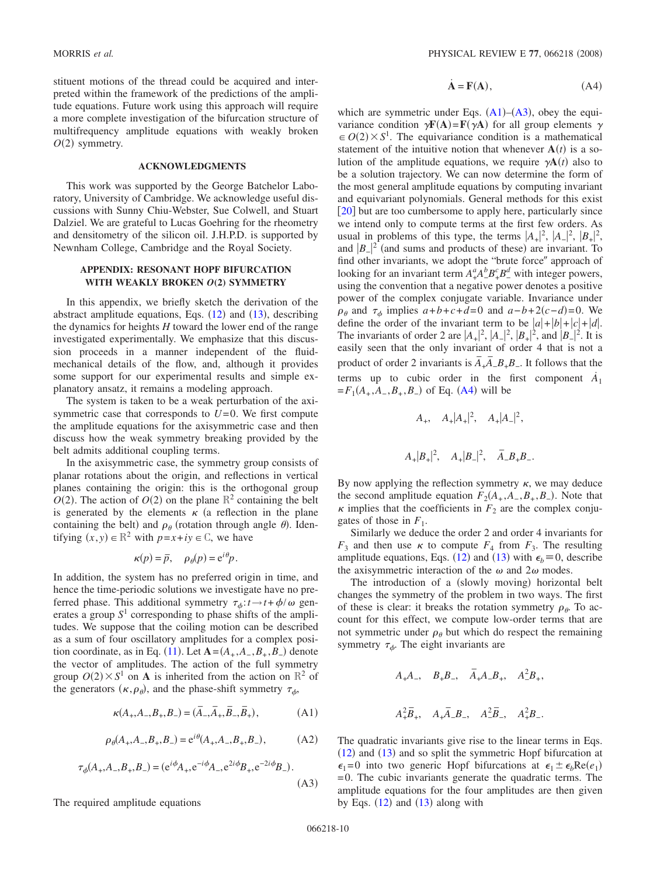stituent motions of the thread could be acquired and interpreted within the framework of the predictions of the amplitude equations. Future work using this approach will require a more complete investigation of the bifurcation structure of multifrequency amplitude equations with weakly broken  $O(2)$  symmetry.

#### **ACKNOWLEDGMENTS**

This work was supported by the George Batchelor Laboratory, University of Cambridge. We acknowledge useful discussions with Sunny Chiu-Webster, Sue Colwell, and Stuart Dalziel. We are grateful to Lucas Goehring for the rheometry and densitometry of the silicon oil. J.H.P.D. is supported by Newnham College, Cambridge and the Royal Society.

## **APPENDIX: RESONANT HOPF BIFURCATION WITH WEAKLY BROKEN** *O***(2) SYMMETRY**

In this appendix, we briefly sketch the derivation of the abstract amplitude equations, Eqs.  $(12)$  and  $(13)$ , describing the dynamics for heights *H* toward the lower end of the range investigated experimentally. We emphasize that this discussion proceeds in a manner independent of the fluidmechanical details of the flow, and, although it provides some support for our experimental results and simple explanatory ansatz, it remains a modeling approach.

The system is taken to be a weak perturbation of the axisymmetric case that corresponds to  $U=0$ . We first compute the amplitude equations for the axisymmetric case and then discuss how the weak symmetry breaking provided by the belt admits additional coupling terms.

In the axisymmetric case, the symmetry group consists of planar rotations about the origin, and reflections in vertical planes containing the origin: this is the orthogonal group  $O(2)$ . The action of  $O(2)$  on the plane  $\mathbb{R}^2$  containing the belt is generated by the elements  $\kappa$  (a reflection in the plane containing the belt) and  $\rho_{\theta}$  (rotation through angle  $\theta$ ). Identifying  $(x, y) \in \mathbb{R}^2$  with  $p = x + iy \in \mathbb{C}$ , we have

$$
\kappa(p) = \overline{p}, \quad \rho_{\theta}(p) = e^{i\theta}p.
$$

In addition, the system has no preferred origin in time, and hence the time-periodic solutions we investigate have no preferred phase. This additional symmetry  $\tau_{\phi}: t \to t + \phi/\omega$  generates a group  $S<sup>1</sup>$  corresponding to phase shifts of the amplitudes. We suppose that the coiling motion can be described as a sum of four oscillatory amplitudes for a complex position coordinate, as in Eq. (11). Let  $A = (A_+, A_-, B_+, B_-)$  denote the vector of amplitudes. The action of the full symmetry group  $O(2) \times S^1$  on **A** is inherited from the action on  $\mathbb{R}^2$  of the generators  $(\kappa, \rho_\theta)$ , and the phase-shift symmetry  $\tau_\phi$ ,

$$
\kappa(A_+, A_-, B_+, B_-) = (\overline{A}_-, \overline{A}_+, \overline{B}_-, \overline{B}_+),
$$
 (A1)

$$
\rho_{\theta}(A_+, A_-, B_+, B_-) = e^{i\theta}(A_+, A_-, B_+, B_-), \tag{A2}
$$

$$
\tau_{\phi}(A_{+}, A_{-}, B_{+}, B_{-}) = (e^{i\phi}A_{+}, e^{-i\phi}A_{-}, e^{2i\phi}B_{+}, e^{-2i\phi}B_{-}).
$$
\n(A3)

The required amplitude equations

$$
\dot{\mathbf{A}} = \mathbf{F}(\mathbf{A}),\tag{A4}
$$

which are symmetric under Eqs.  $(A1)$ – $(A3)$ , obey the equivariance condition  $\gamma \mathbf{F}(\mathbf{A}) = \mathbf{F}(\gamma \mathbf{A})$  for all group elements  $\gamma$  $\epsilon \in O(2) \times S<sup>1</sup>$ . The equivariance condition is a mathematical statement of the intuitive notion that whenever  $A(t)$  is a solution of the amplitude equations, we require  $\gamma \mathbf{A}(t)$  also to be a solution trajectory. We can now determine the form of the most general amplitude equations by computing invariant and equivariant polynomials. General methods for this exist [20] but are too cumbersome to apply here, particularly since we intend only to compute terms at the first few orders. As usual in problems of this type, the terms  $|A_+|^2$ ,  $|A_-|^2$ ,  $|B_+|^2$ , and  $|B_-\rangle^2$  (and sums and products of these) are invariant. To find other invariants, we adopt the "brute force" approach of looking for an invariant term  $A^a_+ A^b_- B^c_+ B^d_-$  with integer powers, using the convention that a negative power denotes a positive power of the complex conjugate variable. Invariance under  $\rho_{\theta}$  and  $\tau_{\phi}$  implies  $a+b+c+d=0$  and  $a-b+2(c-d)=0$ . We define the order of the invariant term to be  $|a|+|b|+|c|+|d|$ . The invariants of order 2 are  $|A_+|^2$ ,  $|A_-|^2$ ,  $|B_+|^2$ , and  $|B_-|^2$ . It is easily seen that the only invariant of order 4 that is not a product of order 2 invariants is  $\overline{A}_+ \overline{A}_- B_+ B_-$ . It follows that the terms up to cubic order in the first component  $\dot{A}_1$  $=F_1(A_+, A_-, B_+, B_-)$  of Eq. (A4) will be

$$
A_+, A_+|A_+|^2, A_+|A_-|^2,
$$
  
 $A_+|B_+|^2, A_+|B_-|^2, \bar{A}_-B_+B_-.$ 

By now applying the reflection symmetry  $\kappa$ , we may deduce the second amplitude equation  $F_2(A_+, A_-, B_+, B_-)$ . Note that  $\kappa$  implies that the coefficients in  $F_2$  are the complex conjugates of those in  $F_1$ .

Similarly we deduce the order 2 and order 4 invariants for  $F_3$  and then use  $\kappa$  to compute  $F_4$  from  $F_3$ . The resulting amplitude equations, Eqs. (12) and (13) with  $\epsilon_b = 0$ , describe the axisymmetric interaction of the  $\omega$  and  $2\omega$  modes.

The introduction of a (slowly moving) horizontal belt changes the symmetry of the problem in two ways. The first of these is clear: it breaks the rotation symmetry  $\rho_{\theta}$ . To account for this effect, we compute low-order terms that are not symmetric under  $\rho_{\theta}$  but which do respect the remaining symmetry  $\tau_{\phi}$ . The eight invariants are

$$
\begin{array}{lll} A_+A_-,& B_+B_-,& \bar{A}_+A_-B_+,& A_-^2B_+,\\ \\ A_+^2\bar{B}_+,& A_+\bar{A}_-B_-,& A_-^2\bar{B}_-,& A_+^2B_-.\end{array}
$$

The quadratic invariants give rise to the linear terms in Eqs.  $(12)$  and  $(13)$  and so split the symmetric Hopf bifurcation at  $\epsilon_1=0$  into two generic Hopf bifurcations at  $\epsilon_1 \pm \epsilon_b \text{Re}(e_1)$  $=0$ . The cubic invariants generate the quadratic terms. The amplitude equations for the four amplitudes are then given by Eqs.  $(12)$  and  $(13)$  along with